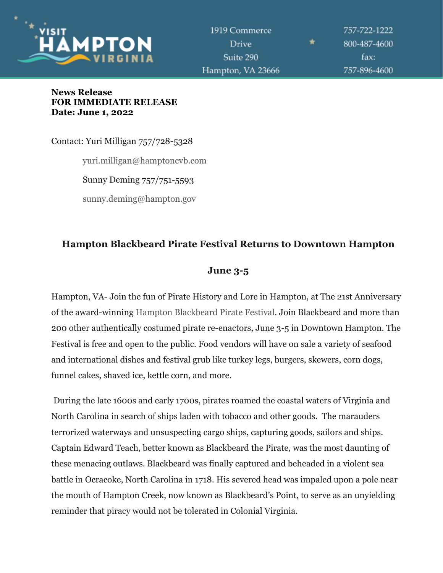

757-722-1222 800-487-4600 fax: 757-896-4600

#### **News Release FOR IMMEDIATE RELEASE Date: June 1, 2022**

Contact: Yuri Milligan 757/728-5328 yuri.milligan@hamptoncvb.com Sunny Deming 757/751-5593 sunny.deming@hampton.gov

# **Hampton Blackbeard Pirate Festival Returns to Downtown Hampton**

## **June 3-5**

Hampton, VA- Join the fun of Pirate History and Lore in Hampton, at The 21st Anniversary of the award-winning [Hampton Blackbeard Pirate Festival.](https://www.hampton.gov/2008/Blackbeard-Pirate-Festival) Join Blackbeard and more than 200 other authentically costumed pirate re-enactors, June 3-5 in Downtown Hampton. The Festival is free and open to the public. Food vendors will have on sale a variety of seafood and international dishes and festival grub like turkey legs, burgers, skewers, corn dogs, funnel cakes, shaved ice, kettle corn, and more.

During the late 1600s and early 1700s, pirates roamed the coastal waters of Virginia and North Carolina in search of ships laden with tobacco and other goods. The marauders terrorized waterways and unsuspecting cargo ships, capturing goods, sailors and ships. Captain Edward Teach, better known as Blackbeard the Pirate, was the most daunting of these menacing outlaws. Blackbeard was finally captured and beheaded in a violent sea battle in Ocracoke, North Carolina in 1718. His severed head was impaled upon a pole near the mouth of Hampton Creek, now known as Blackbeard's Point, to serve as an unyielding reminder that piracy would not be tolerated in Colonial Virginia.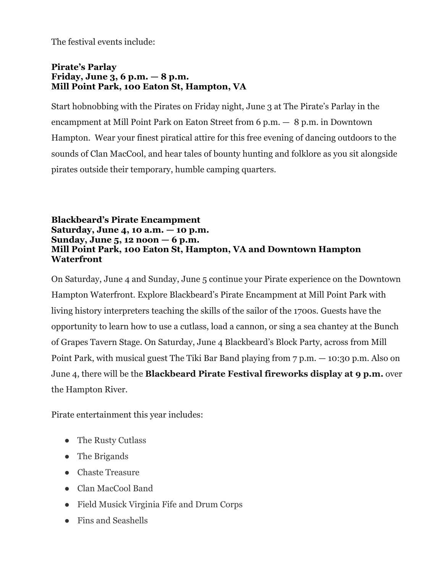The festival events include:

#### **Pirate's Parlay Friday, June 3, 6 p.m. — 8 p.m. Mill Point Park, 100 Eaton St, Hampton, VA**

Start hobnobbing with the Pirates on Friday night, June 3 at The Pirate's Parlay in the encampment at Mill Point Park on Eaton Street from 6 p.m. — 8 p.m. in Downtown Hampton. Wear your finest piratical attire for this free evening of dancing outdoors to the sounds of Clan MacCool, and hear tales of bounty hunting and folklore as you sit alongside pirates outside their temporary, humble camping quarters.

#### **Blackbeard's Pirate Encampment Saturday, June 4, 10 a.m. — 10 p.m. Sunday, June 5, 12 noon — 6 p.m. Mill Point Park, 100 Eaton St, Hampton, VA and Downtown Hampton Waterfront**

On Saturday, June 4 and Sunday, June 5 continue your Pirate experience on the Downtown Hampton Waterfront. Explore Blackbeard's Pirate Encampment at Mill Point Park with living history interpreters teaching the skills of the sailor of the 1700s. Guests have the opportunity to learn how to use a cutlass, load a cannon, or sing a sea chantey at the Bunch of Grapes Tavern Stage. On Saturday, June 4 Blackbeard's Block Party, across from Mill Point Park, with musical guest The Tiki Bar Band playing from 7 p.m. — 10:30 p.m. Also on June 4, there will be the **Blackbeard Pirate Festival fireworks display at 9 p.m.** over the Hampton River.

Pirate entertainment this year includes:

- The Rusty Cutlass
- The Brigands
- Chaste Treasure
- Clan MacCool Band
- Field Musick Virginia Fife and Drum Corps
- Fins and Seashells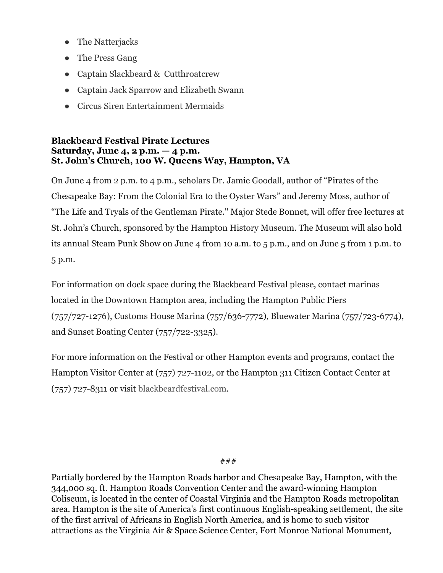- The Natterjacks
- The Press Gang
- Captain Slackbeard & Cutthroatcrew
- Captain Jack Sparrow and Elizabeth Swann
- Circus Siren Entertainment Mermaids

### **Blackbeard Festival Pirate Lectures Saturday, June 4, 2 p.m. — 4 p.m. St. John's Church, 100 W. Queens Way, Hampton, VA**

On June 4 from 2 p.m. to 4 p.m., scholars Dr. Jamie Goodall, author of "Pirates of the Chesapeake Bay: From the Colonial Era to the Oyster Wars" and Jeremy Moss, author of "The Life and Tryals of the Gentleman Pirate." Major Stede Bonnet, will offer free lectures at St. John's Church, sponsored by the Hampton History Museum. The Museum will also hold its annual Steam Punk Show on June 4 from 10 a.m. to 5 p.m., and on June 5 from 1 p.m. to 5 p.m.

For information on dock space during the Blackbeard Festival please, contact marinas located in the Downtown Hampton area, including the Hampton Public Piers (757/727-1276), Customs House Marina (757/636-7772), Bluewater Marina (757/723-6774), and Sunset Boating Center (757/722-3325).

For more information on the Festival or other Hampton events and programs, contact the Hampton Visitor Center at (757) 727-1102, or the Hampton 311 Citizen Contact Center at (757) 727-8311 or visit [blackbeardfestival.com](http://www.blackbeardfestival.com/).

###

Partially bordered by the Hampton Roads harbor and Chesapeake Bay, Hampton, with the 344,000 sq. ft. Hampton Roads Convention Center and the award-winning Hampton Coliseum, is located in the center of Coastal Virginia and the Hampton Roads metropolitan area. Hampton is the site of America's first continuous English-speaking settlement, the site of the first arrival of Africans in English North America, and is home to such visitor attractions as the Virginia Air & Space Science Center, Fort Monroe National Monument,